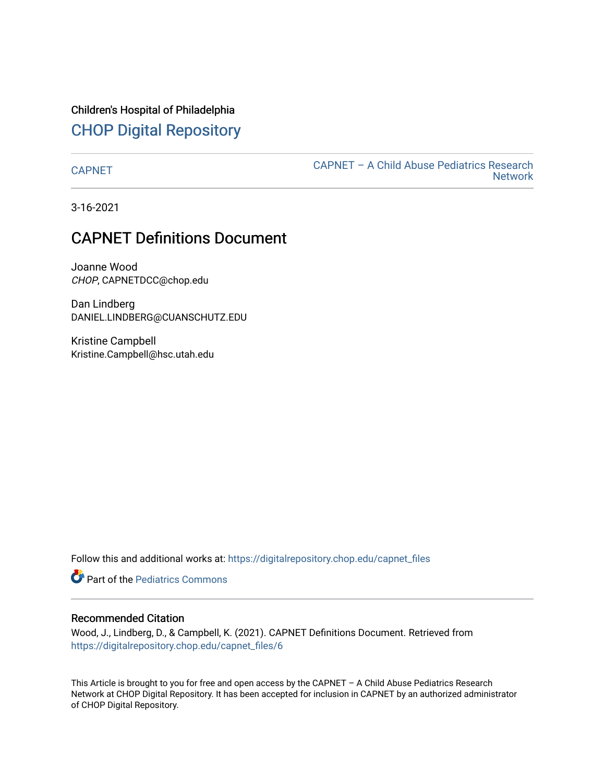Children's Hospital of Philadelphia [CHOP Digital Repository](https://digitalrepository.chop.edu/) 

[CAPNET](https://digitalrepository.chop.edu/capnet_files) [CAPNET – A Child Abuse Pediatrics Research](https://digitalrepository.chop.edu/capnet)  **Network** 

3-16-2021

## CAPNET Definitions Document

Joanne Wood CHOP, CAPNETDCC@chop.edu

Dan Lindberg DANIEL.LINDBERG@CUANSCHUTZ.EDU

Kristine Campbell Kristine.Campbell@hsc.utah.edu

Follow this and additional works at: [https://digitalrepository.chop.edu/capnet\\_files](https://digitalrepository.chop.edu/capnet_files?utm_source=digitalrepository.chop.edu%2Fcapnet_files%2F6&utm_medium=PDF&utm_campaign=PDFCoverPages) 

**C** Part of the [Pediatrics Commons](http://network.bepress.com/hgg/discipline/700?utm_source=digitalrepository.chop.edu%2Fcapnet_files%2F6&utm_medium=PDF&utm_campaign=PDFCoverPages)

#### Recommended Citation

Wood, J., Lindberg, D., & Campbell, K. (2021). CAPNET Definitions Document. Retrieved from [https://digitalrepository.chop.edu/capnet\\_files/6](https://digitalrepository.chop.edu/capnet_files/6?utm_source=digitalrepository.chop.edu%2Fcapnet_files%2F6&utm_medium=PDF&utm_campaign=PDFCoverPages) 

This Article is brought to you for free and open access by the CAPNET – A Child Abuse Pediatrics Research Network at CHOP Digital Repository. It has been accepted for inclusion in CAPNET by an authorized administrator of CHOP Digital Repository.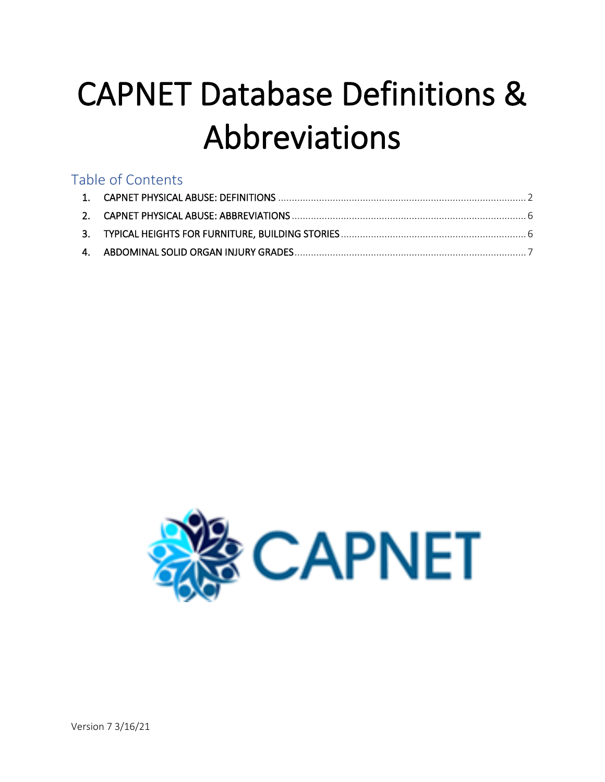# CAPNET Database Definitions & Abbreviations

# Table of Contents

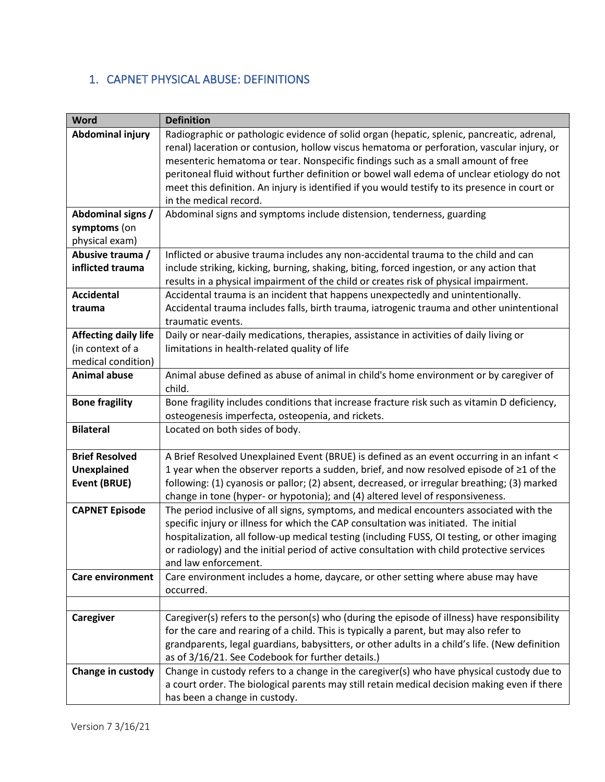#### <span id="page-2-0"></span>1. CAPNET PHYSICAL ABUSE: DEFINITIONS

| <b>Word</b>                 | <b>Definition</b>                                                                                                                                                         |
|-----------------------------|---------------------------------------------------------------------------------------------------------------------------------------------------------------------------|
| Abdominal injury            | Radiographic or pathologic evidence of solid organ (hepatic, splenic, pancreatic, adrenal,                                                                                |
|                             | renal) laceration or contusion, hollow viscus hematoma or perforation, vascular injury, or                                                                                |
|                             | mesenteric hematoma or tear. Nonspecific findings such as a small amount of free                                                                                          |
|                             | peritoneal fluid without further definition or bowel wall edema of unclear etiology do not                                                                                |
|                             | meet this definition. An injury is identified if you would testify to its presence in court or                                                                            |
|                             | in the medical record.                                                                                                                                                    |
| Abdominal signs /           | Abdominal signs and symptoms include distension, tenderness, guarding                                                                                                     |
| symptoms (on                |                                                                                                                                                                           |
| physical exam)              |                                                                                                                                                                           |
| Abusive trauma /            | Inflicted or abusive trauma includes any non-accidental trauma to the child and can                                                                                       |
| inflicted trauma            | include striking, kicking, burning, shaking, biting, forced ingestion, or any action that                                                                                 |
|                             | results in a physical impairment of the child or creates risk of physical impairment.                                                                                     |
| <b>Accidental</b>           | Accidental trauma is an incident that happens unexpectedly and unintentionally.                                                                                           |
| trauma                      | Accidental trauma includes falls, birth trauma, iatrogenic trauma and other unintentional                                                                                 |
|                             | traumatic events.                                                                                                                                                         |
| <b>Affecting daily life</b> | Daily or near-daily medications, therapies, assistance in activities of daily living or                                                                                   |
| (in context of a            | limitations in health-related quality of life                                                                                                                             |
| medical condition)          |                                                                                                                                                                           |
| <b>Animal abuse</b>         | Animal abuse defined as abuse of animal in child's home environment or by caregiver of                                                                                    |
| child.                      |                                                                                                                                                                           |
| <b>Bone fragility</b>       | Bone fragility includes conditions that increase fracture risk such as vitamin D deficiency,                                                                              |
|                             | osteogenesis imperfecta, osteopenia, and rickets.                                                                                                                         |
| <b>Bilateral</b>            | Located on both sides of body.                                                                                                                                            |
|                             |                                                                                                                                                                           |
| <b>Brief Resolved</b>       | A Brief Resolved Unexplained Event (BRUE) is defined as an event occurring in an infant <                                                                                 |
| <b>Unexplained</b>          | 1 year when the observer reports a sudden, brief, and now resolved episode of ≥1 of the                                                                                   |
| <b>Event (BRUE)</b>         | following: (1) cyanosis or pallor; (2) absent, decreased, or irregular breathing; (3) marked                                                                              |
| <b>CAPNET Episode</b>       | change in tone (hyper- or hypotonia); and (4) altered level of responsiveness.<br>The period inclusive of all signs, symptoms, and medical encounters associated with the |
|                             | specific injury or illness for which the CAP consultation was initiated. The initial                                                                                      |
|                             | hospitalization, all follow-up medical testing (including FUSS, OI testing, or other imaging                                                                              |
|                             | or radiology) and the initial period of active consultation with child protective services                                                                                |
|                             | and law enforcement.                                                                                                                                                      |
| <b>Care environment</b>     | Care environment includes a home, daycare, or other setting where abuse may have                                                                                          |
|                             | occurred.                                                                                                                                                                 |
|                             |                                                                                                                                                                           |
| Caregiver                   | Caregiver(s) refers to the person(s) who (during the episode of illness) have responsibility                                                                              |
|                             | for the care and rearing of a child. This is typically a parent, but may also refer to                                                                                    |
|                             | grandparents, legal guardians, babysitters, or other adults in a child's life. (New definition                                                                            |
|                             | as of 3/16/21. See Codebook for further details.)                                                                                                                         |
| Change in custody           | Change in custody refers to a change in the caregiver(s) who have physical custody due to                                                                                 |
|                             | a court order. The biological parents may still retain medical decision making even if there                                                                              |
|                             | has been a change in custody.                                                                                                                                             |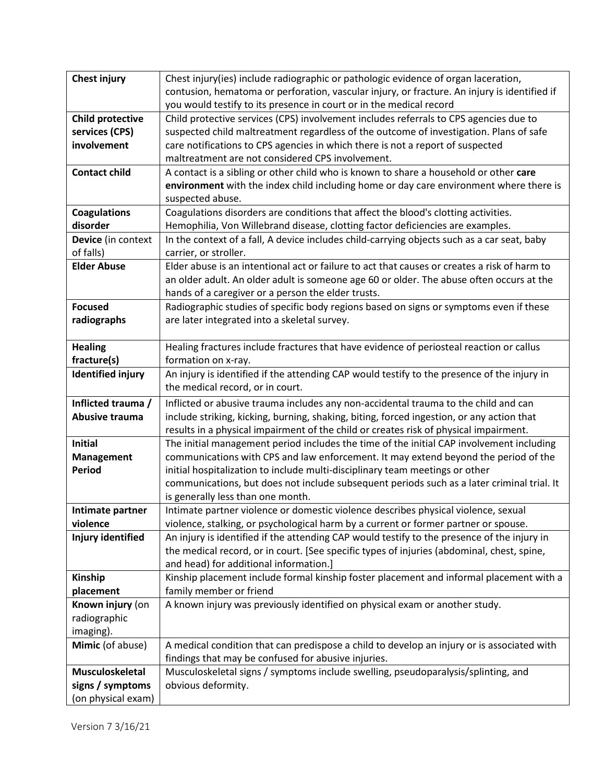| <b>Chest injury</b>         | Chest injury(ies) include radiographic or pathologic evidence of organ laceration,                                                                                  |  |
|-----------------------------|---------------------------------------------------------------------------------------------------------------------------------------------------------------------|--|
|                             | contusion, hematoma or perforation, vascular injury, or fracture. An injury is identified if                                                                        |  |
|                             | you would testify to its presence in court or in the medical record                                                                                                 |  |
| <b>Child protective</b>     | Child protective services (CPS) involvement includes referrals to CPS agencies due to                                                                               |  |
| services (CPS)              | suspected child maltreatment regardless of the outcome of investigation. Plans of safe                                                                              |  |
| involvement                 | care notifications to CPS agencies in which there is not a report of suspected                                                                                      |  |
|                             | maltreatment are not considered CPS involvement.                                                                                                                    |  |
| <b>Contact child</b>        | A contact is a sibling or other child who is known to share a household or other care                                                                               |  |
|                             | environment with the index child including home or day care environment where there is                                                                              |  |
|                             | suspected abuse.                                                                                                                                                    |  |
| <b>Coagulations</b>         | Coagulations disorders are conditions that affect the blood's clotting activities.                                                                                  |  |
| disorder                    | Hemophilia, Von Willebrand disease, clotting factor deficiencies are examples.                                                                                      |  |
| Device (in context          | In the context of a fall, A device includes child-carrying objects such as a car seat, baby                                                                         |  |
| of falls)                   | carrier, or stroller.                                                                                                                                               |  |
| <b>Elder Abuse</b>          | Elder abuse is an intentional act or failure to act that causes or creates a risk of harm to                                                                        |  |
|                             | an older adult. An older adult is someone age 60 or older. The abuse often occurs at the                                                                            |  |
|                             | hands of a caregiver or a person the elder trusts.                                                                                                                  |  |
| <b>Focused</b>              | Radiographic studies of specific body regions based on signs or symptoms even if these                                                                              |  |
| radiographs                 | are later integrated into a skeletal survey.                                                                                                                        |  |
|                             |                                                                                                                                                                     |  |
| <b>Healing</b>              | Healing fractures include fractures that have evidence of periosteal reaction or callus                                                                             |  |
| fracture(s)                 | formation on x-ray.                                                                                                                                                 |  |
| <b>Identified injury</b>    | An injury is identified if the attending CAP would testify to the presence of the injury in                                                                         |  |
|                             | the medical record, or in court.                                                                                                                                    |  |
| Inflicted trauma /          | Inflicted or abusive trauma includes any non-accidental trauma to the child and can                                                                                 |  |
| Abusive trauma              | include striking, kicking, burning, shaking, biting, forced ingestion, or any action that                                                                           |  |
|                             | results in a physical impairment of the child or creates risk of physical impairment.                                                                               |  |
| <b>Initial</b>              | The initial management period includes the time of the initial CAP involvement including                                                                            |  |
| Management<br><b>Period</b> | communications with CPS and law enforcement. It may extend beyond the period of the<br>initial hospitalization to include multi-disciplinary team meetings or other |  |
|                             | communications, but does not include subsequent periods such as a later criminal trial. It                                                                          |  |
|                             | is generally less than one month.                                                                                                                                   |  |
| Intimate partner            | Intimate partner violence or domestic violence describes physical violence, sexual                                                                                  |  |
| violence                    | violence, stalking, or psychological harm by a current or former partner or spouse.                                                                                 |  |
| Injury identified           | An injury is identified if the attending CAP would testify to the presence of the injury in                                                                         |  |
|                             | the medical record, or in court. [See specific types of injuries (abdominal, chest, spine,                                                                          |  |
|                             | and head) for additional information.]                                                                                                                              |  |
| <b>Kinship</b>              | Kinship placement include formal kinship foster placement and informal placement with a                                                                             |  |
| placement                   | family member or friend                                                                                                                                             |  |
| Known injury (on            | A known injury was previously identified on physical exam or another study.                                                                                         |  |
| radiographic                |                                                                                                                                                                     |  |
| imaging).                   |                                                                                                                                                                     |  |
| Mimic (of abuse)            | A medical condition that can predispose a child to develop an injury or is associated with                                                                          |  |
|                             | findings that may be confused for abusive injuries.                                                                                                                 |  |
| <b>Musculoskeletal</b>      | Musculoskeletal signs / symptoms include swelling, pseudoparalysis/splinting, and                                                                                   |  |
| signs / symptoms            | obvious deformity.                                                                                                                                                  |  |
| (on physical exam)          |                                                                                                                                                                     |  |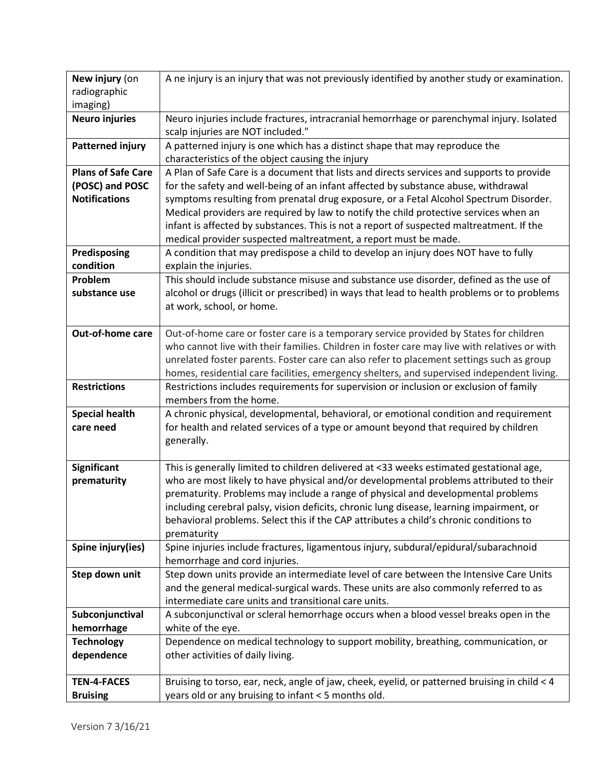| New injury (on                                                   | A ne injury is an injury that was not previously identified by another study or examination.                                                                                                                                                                                                                                           |
|------------------------------------------------------------------|----------------------------------------------------------------------------------------------------------------------------------------------------------------------------------------------------------------------------------------------------------------------------------------------------------------------------------------|
| radiographic                                                     |                                                                                                                                                                                                                                                                                                                                        |
| imaging)                                                         |                                                                                                                                                                                                                                                                                                                                        |
| <b>Neuro injuries</b>                                            | Neuro injuries include fractures, intracranial hemorrhage or parenchymal injury. Isolated                                                                                                                                                                                                                                              |
|                                                                  | scalp injuries are NOT included."                                                                                                                                                                                                                                                                                                      |
| <b>Patterned injury</b>                                          | A patterned injury is one which has a distinct shape that may reproduce the                                                                                                                                                                                                                                                            |
|                                                                  | characteristics of the object causing the injury                                                                                                                                                                                                                                                                                       |
| <b>Plans of Safe Care</b>                                        | A Plan of Safe Care is a document that lists and directs services and supports to provide                                                                                                                                                                                                                                              |
| (POSC) and POSC                                                  | for the safety and well-being of an infant affected by substance abuse, withdrawal                                                                                                                                                                                                                                                     |
| <b>Notifications</b>                                             | symptoms resulting from prenatal drug exposure, or a Fetal Alcohol Spectrum Disorder.<br>Medical providers are required by law to notify the child protective services when an                                                                                                                                                         |
|                                                                  | infant is affected by substances. This is not a report of suspected maltreatment. If the                                                                                                                                                                                                                                               |
|                                                                  | medical provider suspected maltreatment, a report must be made.                                                                                                                                                                                                                                                                        |
| Predisposing                                                     | A condition that may predispose a child to develop an injury does NOT have to fully                                                                                                                                                                                                                                                    |
| condition                                                        | explain the injuries.                                                                                                                                                                                                                                                                                                                  |
| Problem                                                          | This should include substance misuse and substance use disorder, defined as the use of                                                                                                                                                                                                                                                 |
| substance use                                                    | alcohol or drugs (illicit or prescribed) in ways that lead to health problems or to problems                                                                                                                                                                                                                                           |
|                                                                  | at work, school, or home.                                                                                                                                                                                                                                                                                                              |
|                                                                  |                                                                                                                                                                                                                                                                                                                                        |
| Out-of-home care                                                 | Out-of-home care or foster care is a temporary service provided by States for children                                                                                                                                                                                                                                                 |
|                                                                  | who cannot live with their families. Children in foster care may live with relatives or with                                                                                                                                                                                                                                           |
|                                                                  | unrelated foster parents. Foster care can also refer to placement settings such as group                                                                                                                                                                                                                                               |
|                                                                  | homes, residential care facilities, emergency shelters, and supervised independent living.                                                                                                                                                                                                                                             |
| <b>Restrictions</b>                                              | Restrictions includes requirements for supervision or inclusion or exclusion of family                                                                                                                                                                                                                                                 |
|                                                                  | members from the home.                                                                                                                                                                                                                                                                                                                 |
| <b>Special health</b>                                            | A chronic physical, developmental, behavioral, or emotional condition and requirement                                                                                                                                                                                                                                                  |
| care need                                                        | for health and related services of a type or amount beyond that required by children                                                                                                                                                                                                                                                   |
|                                                                  | generally.                                                                                                                                                                                                                                                                                                                             |
| <b>Significant</b>                                               | This is generally limited to children delivered at <33 weeks estimated gestational age,                                                                                                                                                                                                                                                |
| prematurity                                                      | who are most likely to have physical and/or developmental problems attributed to their                                                                                                                                                                                                                                                 |
|                                                                  | prematurity. Problems may include a range of physical and developmental problems                                                                                                                                                                                                                                                       |
|                                                                  | including cerebral palsy, vision deficits, chronic lung disease, learning impairment, or                                                                                                                                                                                                                                               |
|                                                                  | behavioral problems. Select this if the CAP attributes a child's chronic conditions to                                                                                                                                                                                                                                                 |
|                                                                  | prematurity                                                                                                                                                                                                                                                                                                                            |
| Spine injury(ies)                                                | Spine injuries include fractures, ligamentous injury, subdural/epidural/subarachnoid                                                                                                                                                                                                                                                   |
|                                                                  | hemorrhage and cord injuries.                                                                                                                                                                                                                                                                                                          |
| Step down unit                                                   | Step down units provide an intermediate level of care between the Intensive Care Units                                                                                                                                                                                                                                                 |
|                                                                  | and the general medical-surgical wards. These units are also commonly referred to as                                                                                                                                                                                                                                                   |
|                                                                  | intermediate care units and transitional care units.                                                                                                                                                                                                                                                                                   |
|                                                                  |                                                                                                                                                                                                                                                                                                                                        |
|                                                                  |                                                                                                                                                                                                                                                                                                                                        |
|                                                                  |                                                                                                                                                                                                                                                                                                                                        |
|                                                                  |                                                                                                                                                                                                                                                                                                                                        |
| <b>TEN-4-FACES</b>                                               |                                                                                                                                                                                                                                                                                                                                        |
| <b>Bruising</b>                                                  | years old or any bruising to infant < 5 months old.                                                                                                                                                                                                                                                                                    |
| Subconjunctival<br>hemorrhage<br><b>Technology</b><br>dependence | A subconjunctival or scleral hemorrhage occurs when a blood vessel breaks open in the<br>white of the eye.<br>Dependence on medical technology to support mobility, breathing, communication, or<br>other activities of daily living.<br>Bruising to torso, ear, neck, angle of jaw, cheek, eyelid, or patterned bruising in child < 4 |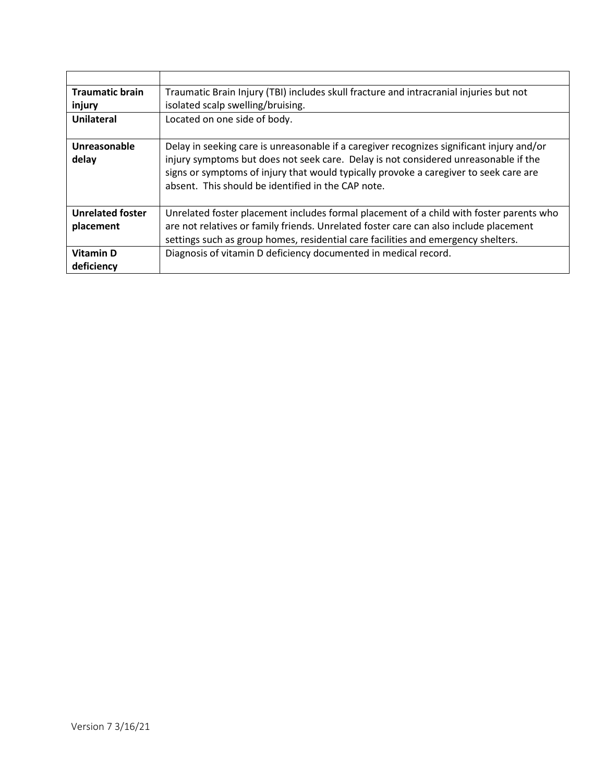| <b>Traumatic brain</b>                                                                                    | Traumatic Brain Injury (TBI) includes skull fracture and intracranial injuries but not  |
|-----------------------------------------------------------------------------------------------------------|-----------------------------------------------------------------------------------------|
| injury                                                                                                    | isolated scalp swelling/bruising.                                                       |
| Located on one side of body.<br><b>Unilateral</b>                                                         |                                                                                         |
|                                                                                                           |                                                                                         |
| Unreasonable<br>Delay in seeking care is unreasonable if a caregiver recognizes significant injury and/or |                                                                                         |
| delay                                                                                                     | injury symptoms but does not seek care. Delay is not considered unreasonable if the     |
|                                                                                                           | signs or symptoms of injury that would typically provoke a caregiver to seek care are   |
|                                                                                                           | absent. This should be identified in the CAP note.                                      |
|                                                                                                           |                                                                                         |
| <b>Unrelated foster</b>                                                                                   | Unrelated foster placement includes formal placement of a child with foster parents who |
| placement                                                                                                 | are not relatives or family friends. Unrelated foster care can also include placement   |
|                                                                                                           | settings such as group homes, residential care facilities and emergency shelters.       |
| <b>Vitamin D</b>                                                                                          | Diagnosis of vitamin D deficiency documented in medical record.                         |
| deficiency                                                                                                |                                                                                         |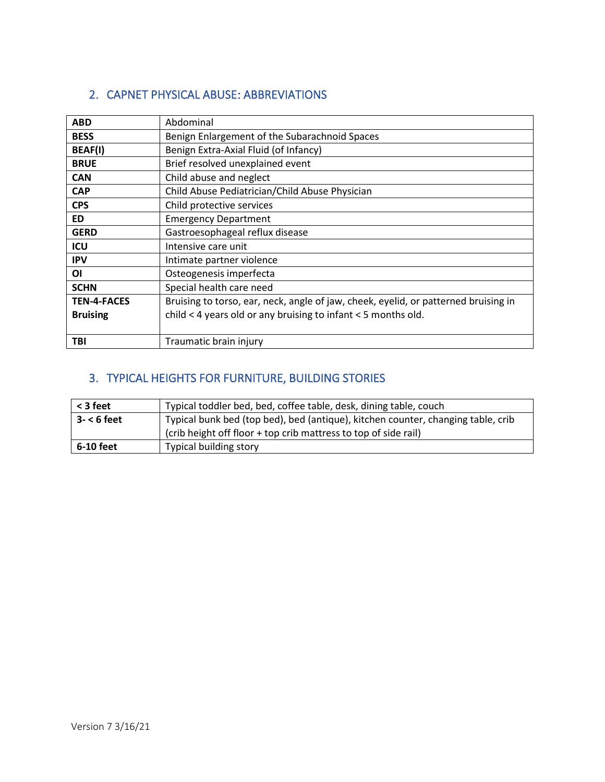#### <span id="page-6-0"></span>2. CAPNET PHYSICAL ABUSE: ABBREVIATIONS

| <b>ABD</b>         | Abdominal                                                                           |
|--------------------|-------------------------------------------------------------------------------------|
| <b>BESS</b>        | Benign Enlargement of the Subarachnoid Spaces                                       |
| <b>BEAF(I)</b>     | Benign Extra-Axial Fluid (of Infancy)                                               |
| <b>BRUE</b>        | Brief resolved unexplained event                                                    |
| <b>CAN</b>         | Child abuse and neglect                                                             |
| <b>CAP</b>         | Child Abuse Pediatrician/Child Abuse Physician                                      |
| <b>CPS</b>         | Child protective services                                                           |
| <b>ED</b>          | <b>Emergency Department</b>                                                         |
| <b>GERD</b>        | Gastroesophageal reflux disease                                                     |
| ICU                | Intensive care unit                                                                 |
| <b>IPV</b>         | Intimate partner violence                                                           |
| ΟI                 | Osteogenesis imperfecta                                                             |
| <b>SCHN</b>        | Special health care need                                                            |
| <b>TEN-4-FACES</b> | Bruising to torso, ear, neck, angle of jaw, cheek, eyelid, or patterned bruising in |
| <b>Bruising</b>    | child < 4 years old or any bruising to infant < 5 months old.                       |
|                    |                                                                                     |
| TBI                | Traumatic brain injury                                                              |

### <span id="page-6-1"></span>3. TYPICAL HEIGHTS FOR FURNITURE, BUILDING STORIES

| < 3 feet     | Typical toddler bed, bed, coffee table, desk, dining table, couch                |  |  |
|--------------|----------------------------------------------------------------------------------|--|--|
| $3 - 6$ feet | Typical bunk bed (top bed), bed (antique), kitchen counter, changing table, crib |  |  |
|              | (crib height off floor + top crib mattress to top of side rail)                  |  |  |
| 6-10 feet    | <b>Typical building story</b>                                                    |  |  |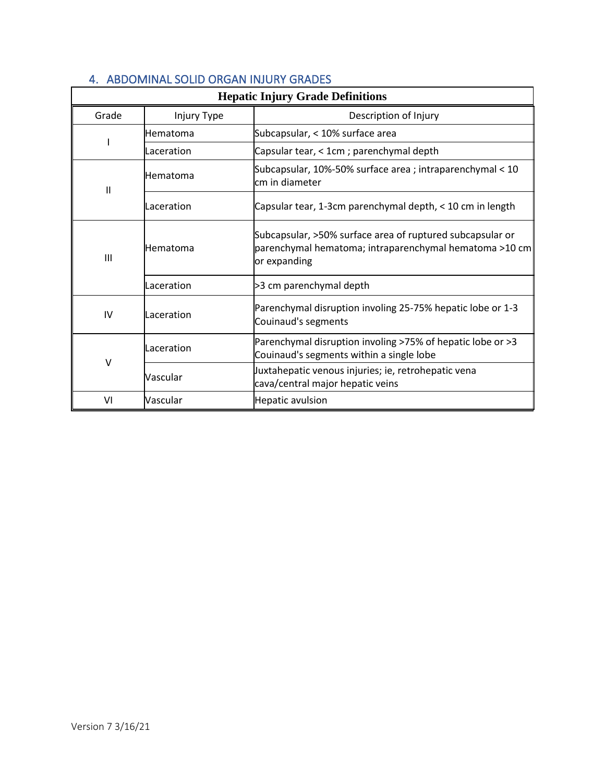<span id="page-7-0"></span>

| <b>Hepatic Injury Grade Definitions</b> |             |                                                                                                                                     |
|-----------------------------------------|-------------|-------------------------------------------------------------------------------------------------------------------------------------|
| Grade                                   | Injury Type | Description of Injury                                                                                                               |
|                                         | Hematoma    | Subcapsular, < 10% surface area                                                                                                     |
|                                         | Laceration  | Capsular tear, < 1cm ; parenchymal depth                                                                                            |
| $\mathbf{H}$                            | Hematoma    | Subcapsular, 10%-50% surface area ; intraparenchymal < 10<br>cm in diameter                                                         |
|                                         | Laceration  | Capsular tear, 1-3cm parenchymal depth, < 10 cm in length                                                                           |
| III                                     | Hematoma    | Subcapsular, >50% surface area of ruptured subcapsular or<br>parenchymal hematoma; intraparenchymal hematoma >10 cm<br>or expanding |
|                                         | Laceration  | >3 cm parenchymal depth                                                                                                             |
| IV                                      | Laceration  | Parenchymal disruption involing 25-75% hepatic lobe or 1-3<br>Couinaud's segments                                                   |
| $\vee$                                  | Laceration  | Parenchymal disruption involing >75% of hepatic lobe or >3<br>Couinaud's segments within a single lobe                              |
|                                         | Vascular    | Juxtahepatic venous injuries; ie, retrohepatic vena<br>cava/central major hepatic veins                                             |
| VI                                      | Vascular    | Hepatic avulsion                                                                                                                    |

#### 4. ABDOMINAL SOLID ORGAN INJURY GRADES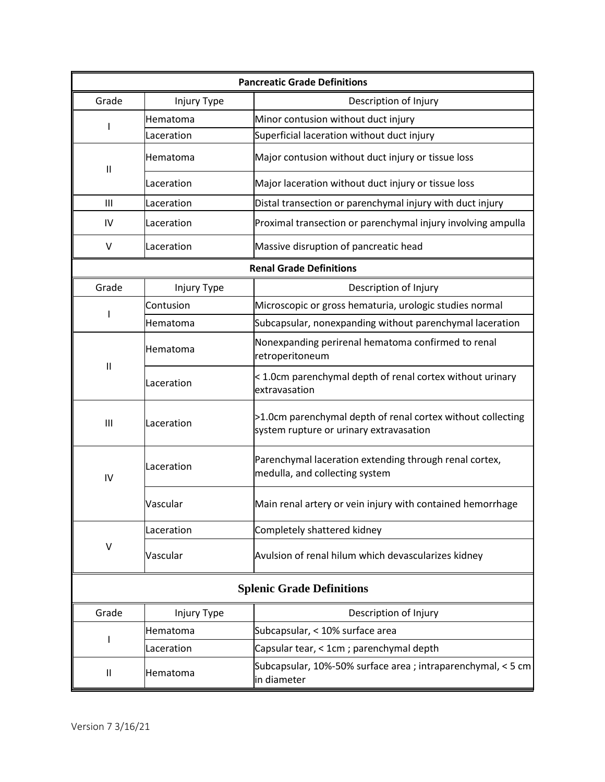| <b>Pancreatic Grade Definitions</b> |             |                                                                                                        |
|-------------------------------------|-------------|--------------------------------------------------------------------------------------------------------|
| Grade                               | Injury Type | Description of Injury                                                                                  |
|                                     | Hematoma    | Minor contusion without duct injury                                                                    |
|                                     | Laceration  | Superficial laceration without duct injury                                                             |
| $\mathbf{  }$                       | Hematoma    | Major contusion without duct injury or tissue loss                                                     |
|                                     | Laceration  | Major laceration without duct injury or tissue loss                                                    |
| Ш                                   | Laceration  | Distal transection or parenchymal injury with duct injury                                              |
| IV                                  | Laceration  | Proximal transection or parenchymal injury involving ampulla                                           |
| V                                   | Laceration  | Massive disruption of pancreatic head                                                                  |
|                                     |             | <b>Renal Grade Definitions</b>                                                                         |
| Grade                               | Injury Type | Description of Injury                                                                                  |
|                                     | Contusion   | Microscopic or gross hematuria, urologic studies normal                                                |
|                                     | Hematoma    | Subcapsular, nonexpanding without parenchymal laceration                                               |
|                                     | Hematoma    | Nonexpanding perirenal hematoma confirmed to renal<br>retroperitoneum                                  |
| $\mathbf{I}$                        | Laceration  | < 1.0cm parenchymal depth of renal cortex without urinary<br>extravasation                             |
| $\mathbf{III}$                      | Laceration  | >1.0cm parenchymal depth of renal cortex without collecting<br>system rupture or urinary extravasation |
| IV                                  | Laceration  | Parenchymal laceration extending through renal cortex,<br>medulla, and collecting system               |
|                                     | Vascular    | Main renal artery or vein injury with contained hemorrhage                                             |
|                                     | Laceration  | Completely shattered kidney                                                                            |
| V                                   | Vascular    | Avulsion of renal hilum which devascularizes kidney                                                    |
| <b>Splenic Grade Definitions</b>    |             |                                                                                                        |
| Grade                               | Injury Type | Description of Injury                                                                                  |
|                                     | Hematoma    | Subcapsular, < 10% surface area                                                                        |
|                                     | Laceration  | Capsular tear, < 1cm ; parenchymal depth                                                               |
| $\mathbf{  }$                       | Hematoma    | Subcapsular, 10%-50% surface area ; intraparenchymal, < 5 cm<br>in diameter                            |